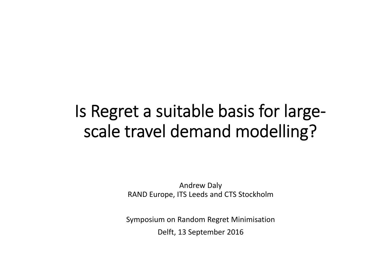# Is Regret <sup>a</sup> suitable basis for large‐ scale travel demand modelling?

Andrew Daly RAND Europe, ITS Leeds and CTS Stockholm

Symposium on Random Regret Minimisation Delft, 13 September 2016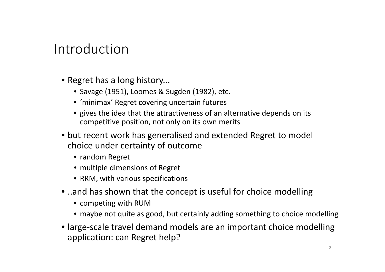#### Introduction

- Regret has <sup>a</sup> long history...
	- Savage (1951), Loomes & Sugden (1982), etc.
	- 'minimax' Regret covering uncertain futures
	- gives the idea that the attractiveness of an alternative depends on its competitive position, not only on its own merits
- but recent work has generalised and extended Regret to model choice under certainty of outcome
	- random Regret
	- multiple dimensions of Regret
	- RRM, with various specifications
- ..and has shown that the concept is useful for choice modelling
	- competing with RUM
	- maybe not quite as good, but certainly adding something to choice modelling
- large‐scale travel demand models are an important choice modelling application: can Regret help?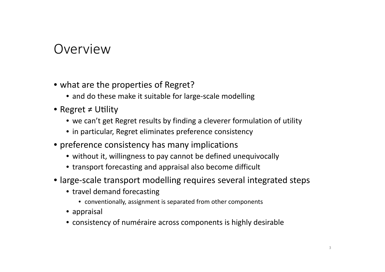#### Overview

- what are the properties of Regret?
	- and do these make it suitable for large‐scale modelling
- Regret ≠ Utility
	- we can't get Regret results by finding <sup>a</sup> cleverer formulation of utility
	- in particular, Regret eliminates preference consistency
- preference consistency has many implications
	- without it, willingness to pay cannot be defined unequivocally
	- transport forecasting and appraisal also become difficult
- large‐scale transport modelling requires several integrated steps
	- travel demand forecasting
		- conventionally, assignment is separated from other components
	- appraisal
	- consistency of numéraire across components is highly desirable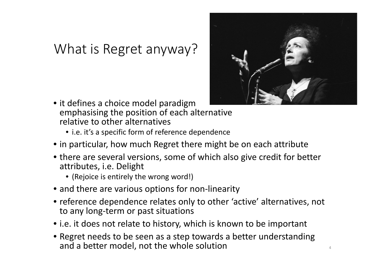### What is Regret anyway?



- it defines a choice model paradigm emphasising the position of each alternative relative to other alternatives
	- i.e. it's a specific form of reference dependence
- in particular, how much Regret there might be on each attribute
- there are several versions, some of which also give credit for better attributes, i.e. Delight
	- (Rejoice is entirely the wrong word!)
- and there are various options for non‐linearity
- reference dependence relates only to other 'active' alternatives, not to any long‐term or past situations
- i.e. it does not relate to history, which is known to be important
- Regret needs to be seen as <sup>a</sup> step towards <sup>a</sup> better understanding and a better model, not the whole solution  $44$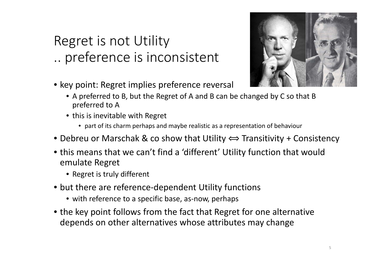## Regret is not Utility .. preference is inconsistent

• key point: Regret implies preference reversal



- A preferred to B, but the Regret of A and B can be changed by C so that B preferred to A
- this is inevitable with Regret
	- part of its charm perhaps and maybe realistic as <sup>a</sup> representation of behaviour
- $\bullet$  Debreu or Marschak & co show that Utility  $\Longleftrightarrow$  Transitivity + Consistency
- this means that we can't find <sup>a</sup> 'different' Utility function that would emulate Regret
	- Regret is truly different
- but there are reference‐dependent Utility functions
	- with reference to <sup>a</sup> specific base, as‐now, perhaps
- the key point follows from the fact that Regret for one alternative depends on other alternatives whose attributes may change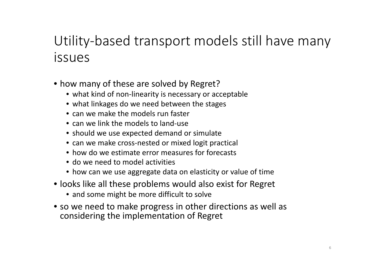## Utility‐based transport models still have many issues

- how many of these are solved by Regret?
	- what kind of non‐linearity is necessary or acceptable
	- what linkages do we need between the stages
	- can we make the models run faster
	- can we link the models to land‐use
	- should we use expected demand or simulate
	- can we make cross‐nested or mixed logit practical
	- how do we estimate error measures for forecasts
	- do we need to model activities
	- how can we use aggregate data on elasticity or value of time
- looks like all these problems would also exist for Regret
	- and some might be more difficult to solve
- so we need to make progress in other directions as well as considering the implementation of Regret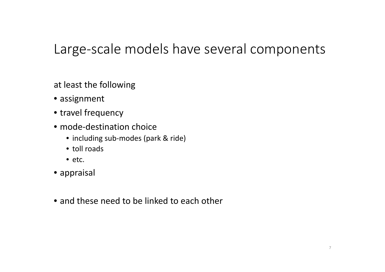#### Large‐scale models have several components

at least the following

- assignment
- travel frequency
- mode-destination choice
	- including sub‐modes (park & ride)
	- toll roads
	- etc.
- appraisal
- and these need to be linked to each other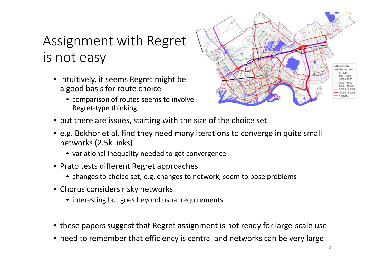## Assignment with Regret is not easy

- intuitively, it seems Regret might be a good basis for route choice
	- comparison of routes seems to involve Regret‐type thinking



- but there are issues, starting with the size of the choice set
- e.g. Bekhor et al. find they need many iterations to converge in quite small networks (2.5k links)
	- variational inequality needed to get convergence
- Prato tests different Regret approaches
	- changes to choice set, e.g. changes to network, seem to pose problems
- Chorus considers risky networks
	- interesting but goes beyond usual requirements
- these papers suggest that Regret assignment is not ready for large‐scale use
- need to remember that efficiency is central and networks can be very large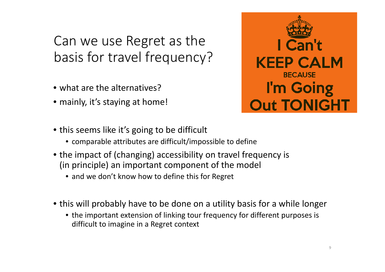## Can we use Regret as the basis for travel frequency?

- what are the alternatives?
- mainly, it's staying at home!



- this seems like it's going to be difficult
	- comparable attributes are difficult/impossible to define
- the impact of (changing) accessibility on travel frequency is (in principle) an important component of the model
	- and we don't know how to define this for Regret
- this will probably have to be done on <sup>a</sup> utility basis for <sup>a</sup> while longer
	- the important extension of linking tour frequency for different purposes is difficult to imagine in <sup>a</sup> Regret context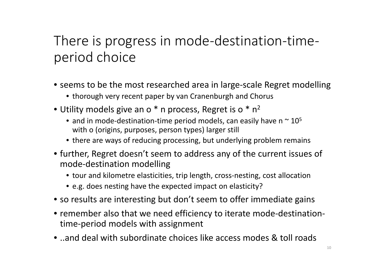## There is progress in mode‐destination‐time‐ period choice

- seems to be the most researched area in large‐scale Regret modelling
	- thorough very recent paper by van Cranenburgh and Chorus
- Utility models give an o  $*$  n process, Regret is o  $*$  n<sup>2</sup>
	- and in mode-destination-time period models, can easily have n  $\sim$  10<sup>5</sup> with o (origins, purposes, person types) larger still
	- there are ways of reducing processing, but underlying problem remains
- further, Regret doesn't seem to address any of the current issues of mode‐destination modelling
	- tour and kilometre elasticities, trip length, cross‐nesting, cost allocation
	- e.g. does nesting have the expected impact on elasticity?
- so results are interesting but don't seem to offer immediate gains
- remember also that we need efficiency to iterate mode‐destination‐ time‐period models with assignment
- ..and deal with subordinate choices like access modes & toll roads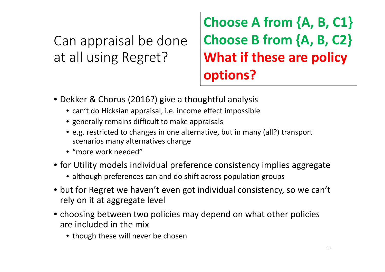Can appraisal be done at all using Regret?

**Choose A from {A, B, C1} Choose B from {A, B, C2} What if these are policy options?**

- Dekker & Chorus (2016?) give <sup>a</sup> thoughtful analysis
	- can't do Hicksian appraisal, i.e. income effect impossible
	- generally remains difficult to make appraisals
	- e.g. restricted to changes in one alternative, but in many (all?) transport scenarios many alternatives change
	- "more work needed"
- for Utility models individual preference consistency implies aggregate
	- although preferences can and do shift across population groups
- but for Regret we haven't even got individual consistency, so we can't rely on it at aggregate level
- choosing between two policies may depend on what other policies are included in the mix
	- though these will never be chosen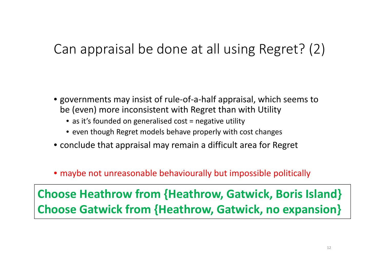## Can appraisal be done at all using Regret? (2)

- governments may insist of rule‐of‐a‐half appraisal, which seems to be (even) more inconsistent with Regret than with Utility
	- as it's founded on generalised cost = negative utility
	- even though Regret models behave properly with cost changes
- conclude that appraisal may remain <sup>a</sup> difficult area for Regret
- maybe not unreasonable behaviourally but impossible politically

**Choose Heathrow from {Heathrow, Gatwick, Boris Island} Choose Gatwick from {Heathrow, Gatwick, no expansion}**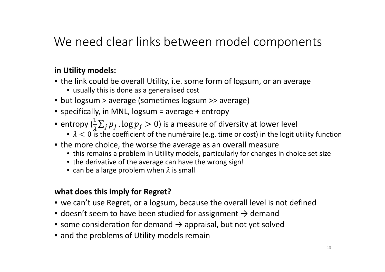#### We need clear links between model components

#### **in Utility models:**

- the link could be overall Utility, i.e. some form of logsum, or an average
	- usually this is done as <sup>a</sup> generalised cost
- but logsum <sup>&</sup>gt; average (sometimes logsum >> average)
- specifically, in MNL, logsum <sup>=</sup> average <sup>+</sup> entropy
- • $\bullet$  entropy  $(\frac{1}{\lambda}\sum_j p_j$  .  $\log p_j > 0)$  is a measure of diversity at lower level
	- $\lambda < 0$  is the coefficient of the numéraire (e.g. time or cost) in the logit utility function
- the more choice, the worse the average as an overall measure
	- this remains a problem in Utility models, particularly for changes in choice set size
	- the derivative of the average can have the wrong sign!
	- can be a large problem when  $\lambda$  is small

#### **what does this imply for Regret?**

- we can't use Regret, or <sup>a</sup> logsum, because the overall level is not defined
- doesn't seem to have been studied for assignment  $\rightarrow$  demand
- some consideration for demand  $\rightarrow$  appraisal, but not yet solved
- and the problems of Utility models remain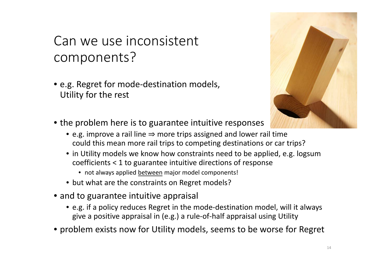## Can we use inconsistent components?

• e.g. Regret for mode‐destination models, Utility for the rest



- the problem here is to guarantee intuitive responses
	- e.g. improve a rail line ⇒ more trips assigned and lower rail time could this mean more rail trips to competing destinations or car trips?
	- in Utility models we know how constraints need to be applied, e.g. logsum coefficients < 1 to guarantee intuitive directions of response
		- not always applied between major model components!
	- but what are the constraints on Regret models?
- and to guarantee intuitive appraisal
	- e.g. if <sup>a</sup> policy reduces Regret in the mode‐destination model, will it always give <sup>a</sup> positive appraisal in (e.g.) <sup>a</sup> rule‐of‐half appraisal using Utility
- problem exists now for Utility models, seems to be worse for Regret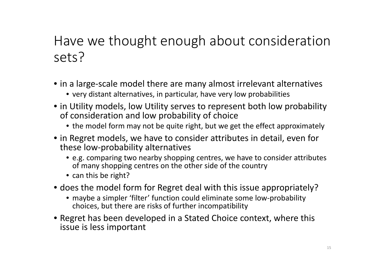## Have we thought enough about consideration sets?

- in <sup>a</sup> large‐scale model there are many almost irrelevant alternatives
	- very distant alternatives, in particular, have very low probabilities
- in Utility models, low Utility serves to represent both low probability of consideration and low probability of choice
	- the model form may not be quite right, but we get the effect approximately
- in Regret models, we have to consider attributes in detail, even for these low‐probability alternatives
	- e.g. comparing two nearby shopping centres, we have to consider attributes of many shopping centres on the other side of the country
	- can this be right?
- does the model form for Regret deal with this issue appropriately?
	- maybe <sup>a</sup> simpler 'filter' function could eliminate some low‐probability choices, but there are risks of further incompatibility
- Regret has been developed in <sup>a</sup> Stated Choice context, where this issue is less important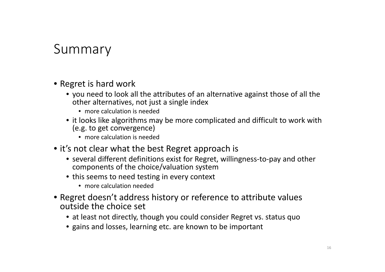#### Summary

- Regret is hard work
	- you need to look all the attributes of an alternative against those of all the other alternatives, not just <sup>a</sup> single index
		- more calculation is needed
	- it looks like algorithms may be more complicated and difficult to work with (e.g. to get convergence)
		- more calculation is needed
- it's not clear what the best Regret approach is
	- several different definitions exist for Regret, willingness‐to‐pay and other components of the choice/valuation system
	- this seems to need testing in every context
		- more calculation needed
- Regret doesn't address history or reference to attribute values outside the choice set
	- at least not directly, though you could consider Regret vs. status quo
	- gains and losses, learning etc. are known to be important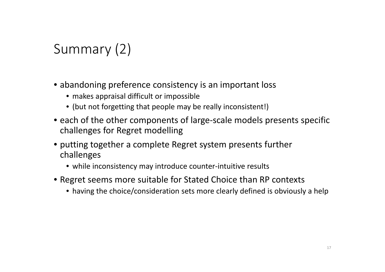## Summary (2)

- abandoning preference consistency is an important loss
	- makes appraisal difficult or impossible
	- (but not forgetting that people may be really inconsistent!)
- each of the other components of large‐scale models presents specific challenges for Regret modelling
- putting together <sup>a</sup> complete Regret system presents further challenges
	- while inconsistency may introduce counter‐intuitive results
- Regret seems more suitable for Stated Choice than RP contexts
	- having the choice/consideration sets more clearly defined is obviously <sup>a</sup> help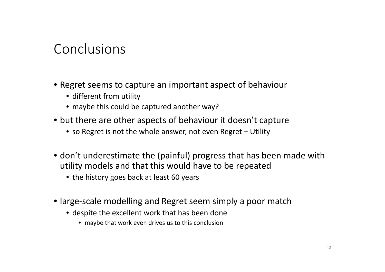#### Conclusions

- Regret seems to capture an important aspect of behaviour
	- different from utility
	- maybe this could be captured another way?
- but there are other aspects of behaviour it doesn't capture
	- so Regret is not the whole answer, not even Regret <sup>+</sup> Utility
- don't underestimate the (painful) progress that has been made with utility models and that this would have to be repeated
	- the history goes back at least 60 years
- large‐scale modelling and Regret seem simply <sup>a</sup> poor match
	- despite the excellent work that has been done
		- maybe that work even drives us to this conclusion